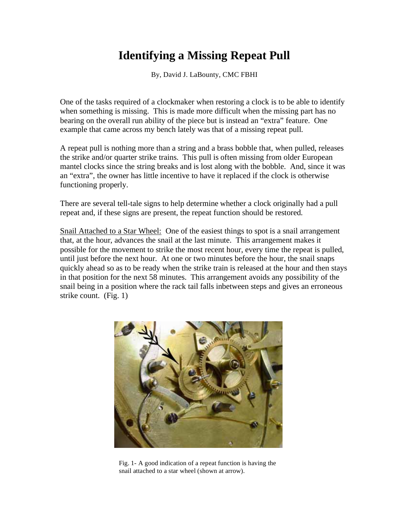## **Identifying a Missing Repeat Pull**

By, David J. LaBounty, CMC FBHI

One of the tasks required of a clockmaker when restoring a clock is to be able to identify when something is missing. This is made more difficult when the missing part has no bearing on the overall run ability of the piece but is instead an "extra" feature. One example that came across my bench lately was that of a missing repeat pull.

A repeat pull is nothing more than a string and a brass bobble that, when pulled, releases the strike and/or quarter strike trains. This pull is often missing from older European mantel clocks since the string breaks and is lost along with the bobble. And, since it was an "extra", the owner has little incentive to have it replaced if the clock is otherwise functioning properly.

There are several tell-tale signs to help determine whether a clock originally had a pull repeat and, if these signs are present, the repeat function should be restored.

Snail Attached to a Star Wheel: One of the easiest things to spot is a snail arrangement that, at the hour, advances the snail at the last minute. This arrangement makes it possible for the movement to strike the most recent hour, every time the repeat is pulled, until just before the next hour. At one or two minutes before the hour, the snail snaps quickly ahead so as to be ready when the strike train is released at the hour and then stays in that position for the next 58 minutes. This arrangement avoids any possibility of the snail being in a position where the rack tail falls inbetween steps and gives an erroneous strike count. (Fig. 1)



Fig. 1- A good indication of a repeat function is having the snail attached to a star wheel (shown at arrow).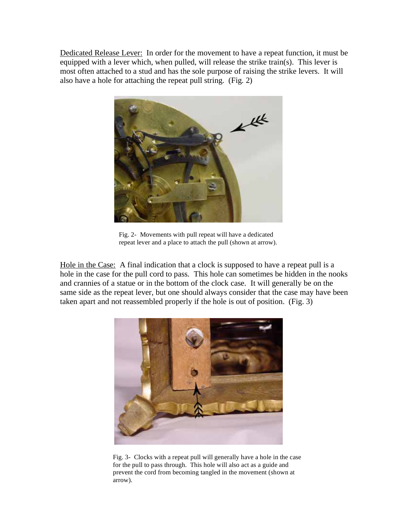Dedicated Release Lever: In order for the movement to have a repeat function, it must be equipped with a lever which, when pulled, will release the strike train(s). This lever is most often attached to a stud and has the sole purpose of raising the strike levers. It will also have a hole for attaching the repeat pull string. (Fig. 2)



Fig. 2- Movements with pull repeat will have a dedicated repeat lever and a place to attach the pull (shown at arrow).

Hole in the Case: A final indication that a clock is supposed to have a repeat pull is a hole in the case for the pull cord to pass. This hole can sometimes be hidden in the nooks and crannies of a statue or in the bottom of the clock case. It will generally be on the same side as the repeat lever, but one should always consider that the case may have been taken apart and not reassembled properly if the hole is out of position. (Fig. 3)



Fig. 3- Clocks with a repeat pull will generally have a hole in the case for the pull to pass through. This hole will also act as a guide and prevent the cord from becoming tangled in the movement (shown at arrow).